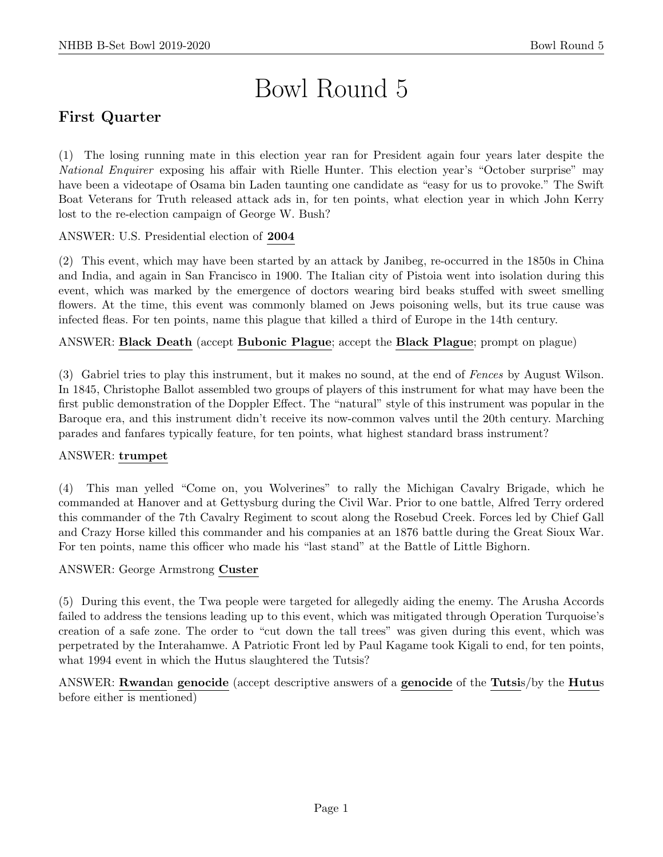# Bowl Round 5

# First Quarter

(1) The losing running mate in this election year ran for President again four years later despite the National Enquirer exposing his affair with Rielle Hunter. This election year's "October surprise" may have been a videotape of Osama bin Laden taunting one candidate as "easy for us to provoke." The Swift Boat Veterans for Truth released attack ads in, for ten points, what election year in which John Kerry lost to the re-election campaign of George W. Bush?

ANSWER: U.S. Presidential election of 2004

(2) This event, which may have been started by an attack by Janibeg, re-occurred in the 1850s in China and India, and again in San Francisco in 1900. The Italian city of Pistoia went into isolation during this event, which was marked by the emergence of doctors wearing bird beaks stuffed with sweet smelling flowers. At the time, this event was commonly blamed on Jews poisoning wells, but its true cause was infected fleas. For ten points, name this plague that killed a third of Europe in the 14th century.

# ANSWER: Black Death (accept Bubonic Plague; accept the Black Plague; prompt on plague)

(3) Gabriel tries to play this instrument, but it makes no sound, at the end of Fences by August Wilson. In 1845, Christophe Ballot assembled two groups of players of this instrument for what may have been the first public demonstration of the Doppler Effect. The "natural" style of this instrument was popular in the Baroque era, and this instrument didn't receive its now-common valves until the 20th century. Marching parades and fanfares typically feature, for ten points, what highest standard brass instrument?

## ANSWER: trumpet

(4) This man yelled "Come on, you Wolverines" to rally the Michigan Cavalry Brigade, which he commanded at Hanover and at Gettysburg during the Civil War. Prior to one battle, Alfred Terry ordered this commander of the 7th Cavalry Regiment to scout along the Rosebud Creek. Forces led by Chief Gall and Crazy Horse killed this commander and his companies at an 1876 battle during the Great Sioux War. For ten points, name this officer who made his "last stand" at the Battle of Little Bighorn.

#### ANSWER: George Armstrong Custer

(5) During this event, the Twa people were targeted for allegedly aiding the enemy. The Arusha Accords failed to address the tensions leading up to this event, which was mitigated through Operation Turquoise's creation of a safe zone. The order to "cut down the tall trees" was given during this event, which was perpetrated by the Interahamwe. A Patriotic Front led by Paul Kagame took Kigali to end, for ten points, what 1994 event in which the Hutus slaughtered the Tutsis?

ANSWER: Rwandan genocide (accept descriptive answers of a genocide of the Tutsis/by the Hutus before either is mentioned)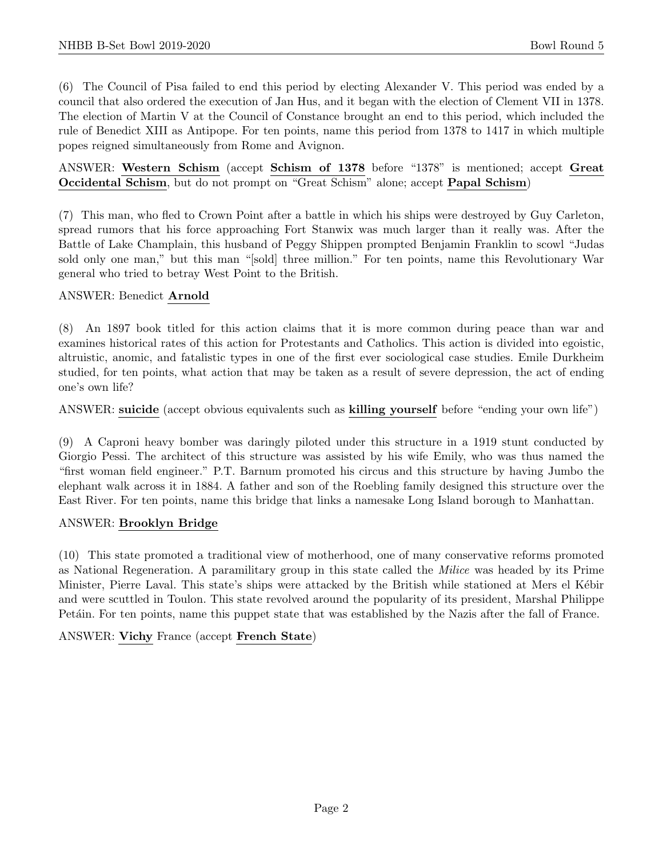(6) The Council of Pisa failed to end this period by electing Alexander V. This period was ended by a council that also ordered the execution of Jan Hus, and it began with the election of Clement VII in 1378. The election of Martin V at the Council of Constance brought an end to this period, which included the rule of Benedict XIII as Antipope. For ten points, name this period from 1378 to 1417 in which multiple popes reigned simultaneously from Rome and Avignon.

ANSWER: Western Schism (accept Schism of 1378 before "1378" is mentioned; accept Great Occidental Schism, but do not prompt on "Great Schism" alone; accept Papal Schism)

(7) This man, who fled to Crown Point after a battle in which his ships were destroyed by Guy Carleton, spread rumors that his force approaching Fort Stanwix was much larger than it really was. After the Battle of Lake Champlain, this husband of Peggy Shippen prompted Benjamin Franklin to scowl "Judas sold only one man," but this man "[sold] three million." For ten points, name this Revolutionary War general who tried to betray West Point to the British.

# ANSWER: Benedict Arnold

(8) An 1897 book titled for this action claims that it is more common during peace than war and examines historical rates of this action for Protestants and Catholics. This action is divided into egoistic, altruistic, anomic, and fatalistic types in one of the first ever sociological case studies. Emile Durkheim studied, for ten points, what action that may be taken as a result of severe depression, the act of ending one's own life?

ANSWER: suicide (accept obvious equivalents such as killing yourself before "ending your own life")

(9) A Caproni heavy bomber was daringly piloted under this structure in a 1919 stunt conducted by Giorgio Pessi. The architect of this structure was assisted by his wife Emily, who was thus named the "first woman field engineer." P.T. Barnum promoted his circus and this structure by having Jumbo the elephant walk across it in 1884. A father and son of the Roebling family designed this structure over the East River. For ten points, name this bridge that links a namesake Long Island borough to Manhattan.

## ANSWER: Brooklyn Bridge

(10) This state promoted a traditional view of motherhood, one of many conservative reforms promoted as National Regeneration. A paramilitary group in this state called the Milice was headed by its Prime Minister, Pierre Laval. This state's ships were attacked by the British while stationed at Mers el Kébir and were scuttled in Toulon. This state revolved around the popularity of its president, Marshal Philippe Petáin. For ten points, name this puppet state that was established by the Nazis after the fall of France.

ANSWER: Vichy France (accept French State)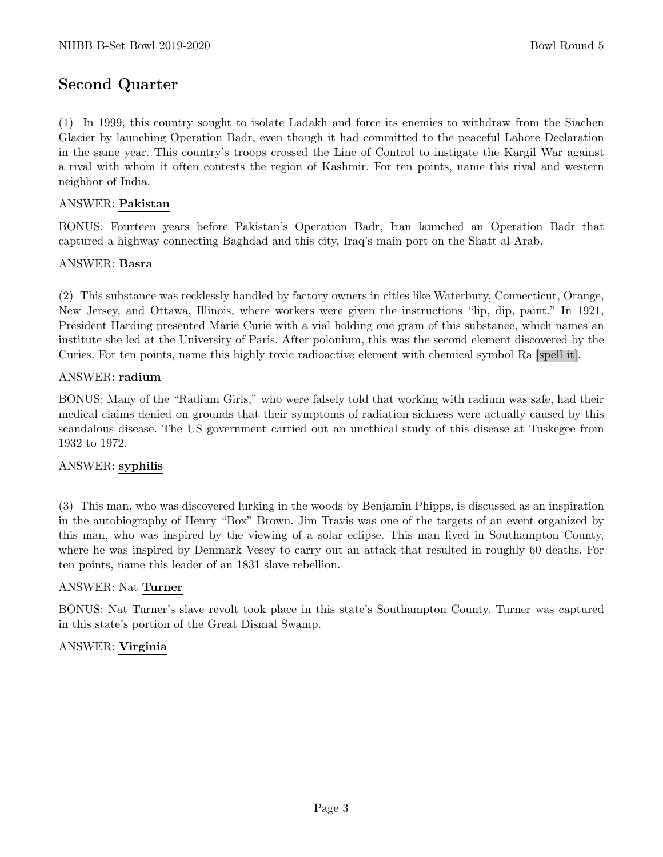# Second Quarter

(1) In 1999, this country sought to isolate Ladakh and force its enemies to withdraw from the Siachen Glacier by launching Operation Badr, even though it had committed to the peaceful Lahore Declaration in the same year. This country's troops crossed the Line of Control to instigate the Kargil War against a rival with whom it often contests the region of Kashmir. For ten points, name this rival and western neighbor of India.

## ANSWER: Pakistan

BONUS: Fourteen years before Pakistan's Operation Badr, Iran launched an Operation Badr that captured a highway connecting Baghdad and this city, Iraq's main port on the Shatt al-Arab.

#### ANSWER: Basra

(2) This substance was recklessly handled by factory owners in cities like Waterbury, Connecticut, Orange, New Jersey, and Ottawa, Illinois, where workers were given the instructions "lip, dip, paint." In 1921, President Harding presented Marie Curie with a vial holding one gram of this substance, which names an institute she led at the University of Paris. After polonium, this was the second element discovered by the Curies. For ten points, name this highly toxic radioactive element with chemical symbol Ra [spell it].

#### ANSWER: radium

BONUS: Many of the "Radium Girls," who were falsely told that working with radium was safe, had their medical claims denied on grounds that their symptoms of radiation sickness were actually caused by this scandalous disease. The US government carried out an unethical study of this disease at Tuskegee from 1932 to 1972.

## ANSWER: syphilis

(3) This man, who was discovered lurking in the woods by Benjamin Phipps, is discussed as an inspiration in the autobiography of Henry "Box" Brown. Jim Travis was one of the targets of an event organized by this man, who was inspired by the viewing of a solar eclipse. This man lived in Southampton County, where he was inspired by Denmark Vesey to carry out an attack that resulted in roughly 60 deaths. For ten points, name this leader of an 1831 slave rebellion.

## ANSWER: Nat Turner

BONUS: Nat Turner's slave revolt took place in this state's Southampton County. Turner was captured in this state's portion of the Great Dismal Swamp.

## ANSWER: Virginia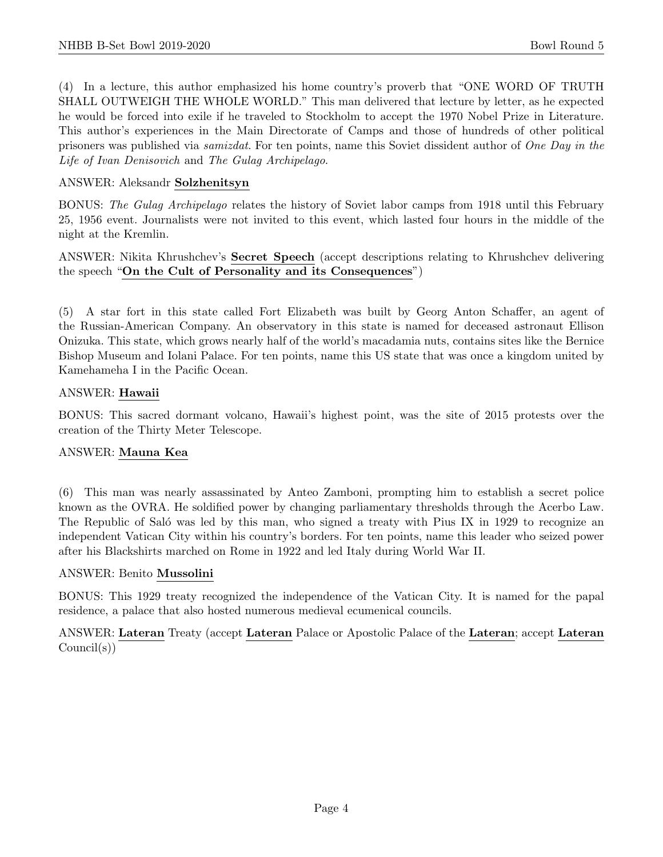(4) In a lecture, this author emphasized his home country's proverb that "ONE WORD OF TRUTH SHALL OUTWEIGH THE WHOLE WORLD." This man delivered that lecture by letter, as he expected he would be forced into exile if he traveled to Stockholm to accept the 1970 Nobel Prize in Literature. This author's experiences in the Main Directorate of Camps and those of hundreds of other political prisoners was published via samizdat. For ten points, name this Soviet dissident author of One Day in the Life of Ivan Denisovich and The Gulag Archipelago.

## ANSWER: Aleksandr Solzhenitsyn

BONUS: The Gulag Archipelago relates the history of Soviet labor camps from 1918 until this February 25, 1956 event. Journalists were not invited to this event, which lasted four hours in the middle of the night at the Kremlin.

ANSWER: Nikita Khrushchev's Secret Speech (accept descriptions relating to Khrushchev delivering the speech "On the Cult of Personality and its Consequences")

(5) A star fort in this state called Fort Elizabeth was built by Georg Anton Schaffer, an agent of the Russian-American Company. An observatory in this state is named for deceased astronaut Ellison Onizuka. This state, which grows nearly half of the world's macadamia nuts, contains sites like the Bernice Bishop Museum and Iolani Palace. For ten points, name this US state that was once a kingdom united by Kamehameha I in the Pacific Ocean.

## ANSWER: Hawaii

BONUS: This sacred dormant volcano, Hawaii's highest point, was the site of 2015 protests over the creation of the Thirty Meter Telescope.

## ANSWER: Mauna Kea

(6) This man was nearly assassinated by Anteo Zamboni, prompting him to establish a secret police known as the OVRA. He soldified power by changing parliamentary thresholds through the Acerbo Law. The Republic of Saló was led by this man, who signed a treaty with Pius IX in 1929 to recognize an independent Vatican City within his country's borders. For ten points, name this leader who seized power after his Blackshirts marched on Rome in 1922 and led Italy during World War II.

## ANSWER: Benito Mussolini

BONUS: This 1929 treaty recognized the independence of the Vatican City. It is named for the papal residence, a palace that also hosted numerous medieval ecumenical councils.

ANSWER: Lateran Treaty (accept Lateran Palace or Apostolic Palace of the Lateran; accept Lateran Council(s))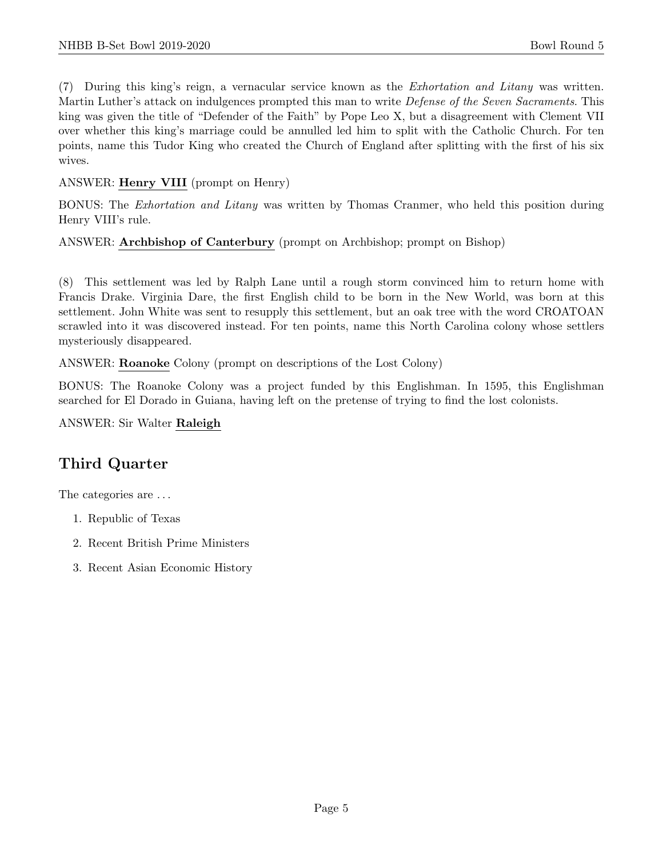(7) During this king's reign, a vernacular service known as the Exhortation and Litany was written. Martin Luther's attack on indulgences prompted this man to write *Defense of the Seven Sacraments*. This king was given the title of "Defender of the Faith" by Pope Leo X, but a disagreement with Clement VII over whether this king's marriage could be annulled led him to split with the Catholic Church. For ten points, name this Tudor King who created the Church of England after splitting with the first of his six wives.

# ANSWER: Henry VIII (prompt on Henry)

BONUS: The Exhortation and Litany was written by Thomas Cranmer, who held this position during Henry VIII's rule.

# ANSWER: Archbishop of Canterbury (prompt on Archbishop; prompt on Bishop)

(8) This settlement was led by Ralph Lane until a rough storm convinced him to return home with Francis Drake. Virginia Dare, the first English child to be born in the New World, was born at this settlement. John White was sent to resupply this settlement, but an oak tree with the word CROATOAN scrawled into it was discovered instead. For ten points, name this North Carolina colony whose settlers mysteriously disappeared.

ANSWER: Roanoke Colony (prompt on descriptions of the Lost Colony)

BONUS: The Roanoke Colony was a project funded by this Englishman. In 1595, this Englishman searched for El Dorado in Guiana, having left on the pretense of trying to find the lost colonists.

ANSWER: Sir Walter Raleigh

# Third Quarter

The categories are . . .

- 1. Republic of Texas
- 2. Recent British Prime Ministers
- 3. Recent Asian Economic History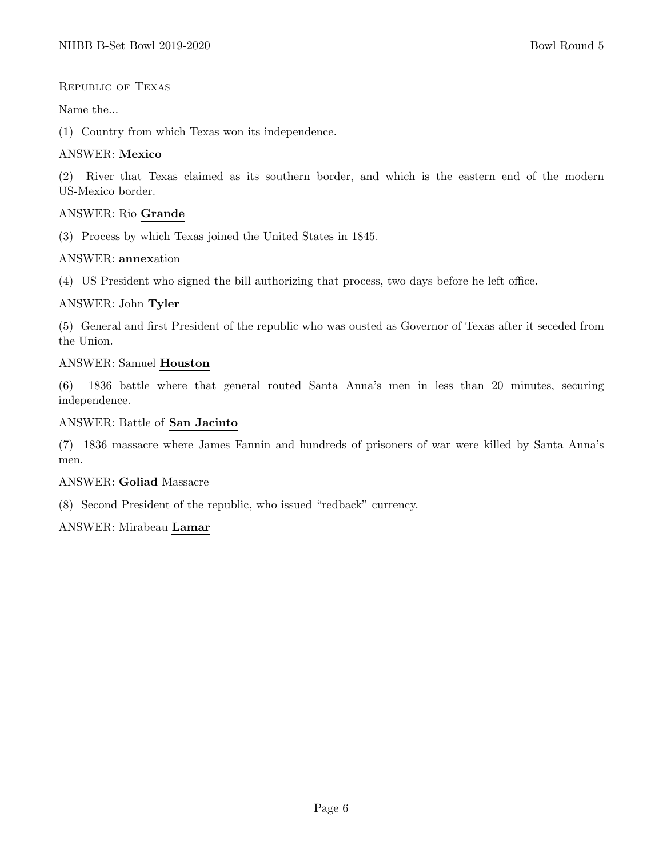#### Republic of Texas

#### Name the...

(1) Country from which Texas won its independence.

#### ANSWER: Mexico

(2) River that Texas claimed as its southern border, and which is the eastern end of the modern US-Mexico border.

#### ANSWER: Rio Grande

(3) Process by which Texas joined the United States in 1845.

#### ANSWER: annexation

(4) US President who signed the bill authorizing that process, two days before he left office.

## ANSWER: John Tyler

(5) General and first President of the republic who was ousted as Governor of Texas after it seceded from the Union.

#### ANSWER: Samuel Houston

(6) 1836 battle where that general routed Santa Anna's men in less than 20 minutes, securing independence.

#### ANSWER: Battle of San Jacinto

(7) 1836 massacre where James Fannin and hundreds of prisoners of war were killed by Santa Anna's men.

#### ANSWER: Goliad Massacre

(8) Second President of the republic, who issued "redback" currency.

#### ANSWER: Mirabeau Lamar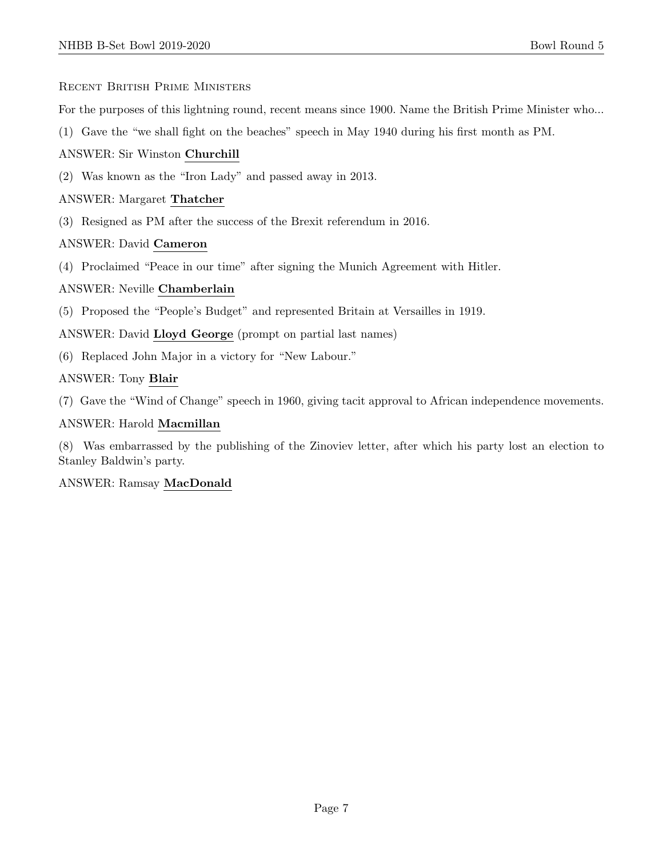#### Recent British Prime Ministers

For the purposes of this lightning round, recent means since 1900. Name the British Prime Minister who...

(1) Gave the "we shall fight on the beaches" speech in May 1940 during his first month as PM.

ANSWER: Sir Winston Churchill

(2) Was known as the "Iron Lady" and passed away in 2013.

# ANSWER: Margaret Thatcher

(3) Resigned as PM after the success of the Brexit referendum in 2016.

## ANSWER: David Cameron

(4) Proclaimed "Peace in our time" after signing the Munich Agreement with Hitler.

## ANSWER: Neville Chamberlain

(5) Proposed the "People's Budget" and represented Britain at Versailles in 1919.

ANSWER: David Lloyd George (prompt on partial last names)

(6) Replaced John Major in a victory for "New Labour."

## ANSWER: Tony Blair

(7) Gave the "Wind of Change" speech in 1960, giving tacit approval to African independence movements.

#### ANSWER: Harold Macmillan

(8) Was embarrassed by the publishing of the Zinoviev letter, after which his party lost an election to Stanley Baldwin's party.

## ANSWER: Ramsay MacDonald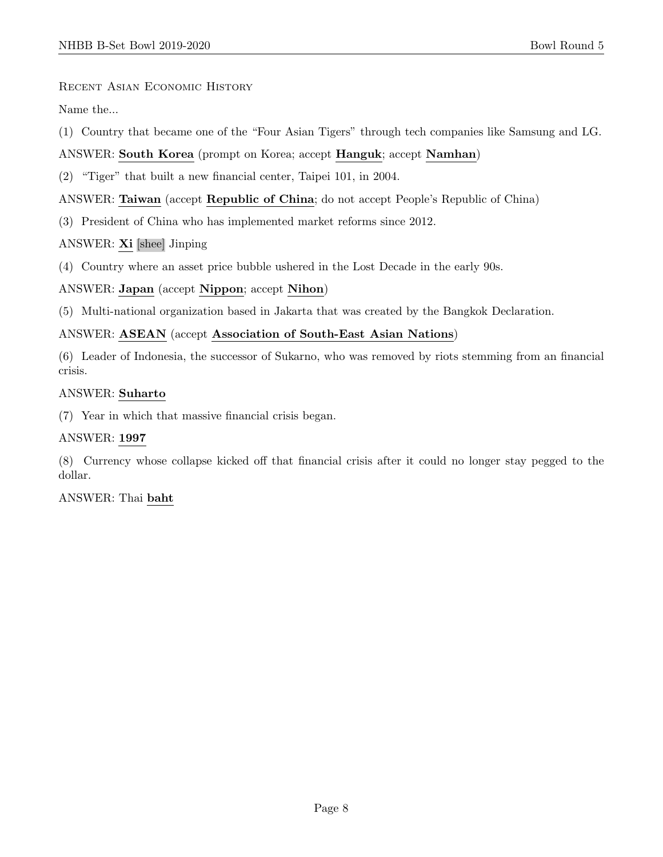Recent Asian Economic History

Name the...

(1) Country that became one of the "Four Asian Tigers" through tech companies like Samsung and LG.

# ANSWER: South Korea (prompt on Korea; accept Hanguk; accept Namhan)

(2) "Tiger" that built a new financial center, Taipei 101, in 2004.

# ANSWER: Taiwan (accept Republic of China; do not accept People's Republic of China)

(3) President of China who has implemented market reforms since 2012.

## ANSWER: Xi [shee] Jinping

(4) Country where an asset price bubble ushered in the Lost Decade in the early 90s.

## ANSWER: Japan (accept Nippon; accept Nihon)

(5) Multi-national organization based in Jakarta that was created by the Bangkok Declaration.

## ANSWER: ASEAN (accept Association of South-East Asian Nations)

(6) Leader of Indonesia, the successor of Sukarno, who was removed by riots stemming from an financial crisis.

#### ANSWER: Suharto

(7) Year in which that massive financial crisis began.

## ANSWER: 1997

(8) Currency whose collapse kicked off that financial crisis after it could no longer stay pegged to the dollar.

ANSWER: Thai baht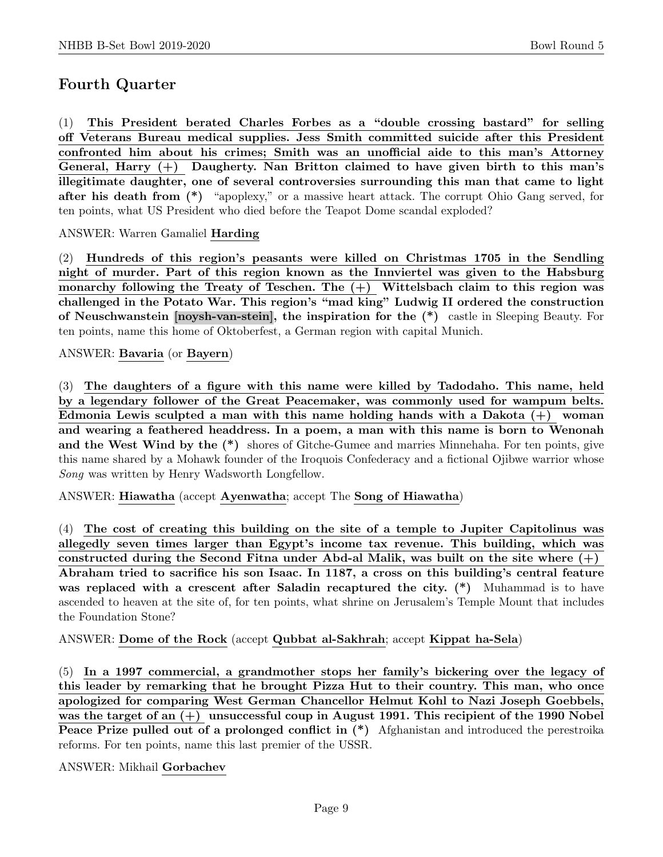# Fourth Quarter

(1) This President berated Charles Forbes as a "double crossing bastard" for selling off Veterans Bureau medical supplies. Jess Smith committed suicide after this President confronted him about his crimes; Smith was an unofficial aide to this man's Attorney General, Harry  $(+)$  Daugherty. Nan Britton claimed to have given birth to this man's illegitimate daughter, one of several controversies surrounding this man that came to light after his death from (\*) "apoplexy," or a massive heart attack. The corrupt Ohio Gang served, for ten points, what US President who died before the Teapot Dome scandal exploded?

ANSWER: Warren Gamaliel Harding

(2) Hundreds of this region's peasants were killed on Christmas 1705 in the Sendling night of murder. Part of this region known as the Innviertel was given to the Habsburg monarchy following the Treaty of Teschen. The  $(+)$  Wittelsbach claim to this region was challenged in the Potato War. This region's "mad king" Ludwig II ordered the construction of Neuschwanstein [noysh-van-stein], the inspiration for the (\*) castle in Sleeping Beauty. For ten points, name this home of Oktoberfest, a German region with capital Munich.

ANSWER: Bavaria (or Bayern)

(3) The daughters of a figure with this name were killed by Tadodaho. This name, held by a legendary follower of the Great Peacemaker, was commonly used for wampum belts. Edmonia Lewis sculpted a man with this name holding hands with a Dakota  $(+)$  woman and wearing a feathered headdress. In a poem, a man with this name is born to Wenonah and the West Wind by the (\*) shores of Gitche-Gumee and marries Minnehaha. For ten points, give this name shared by a Mohawk founder of the Iroquois Confederacy and a fictional Ojibwe warrior whose Song was written by Henry Wadsworth Longfellow.

ANSWER: Hiawatha (accept Ayenwatha; accept The Song of Hiawatha)

(4) The cost of creating this building on the site of a temple to Jupiter Capitolinus was allegedly seven times larger than Egypt's income tax revenue. This building, which was constructed during the Second Fitna under Abd-al Malik, was built on the site where  $(+)$ Abraham tried to sacrifice his son Isaac. In 1187, a cross on this building's central feature was replaced with a crescent after Saladin recaptured the city. (\*) Muhammad is to have ascended to heaven at the site of, for ten points, what shrine on Jerusalem's Temple Mount that includes the Foundation Stone?

ANSWER: Dome of the Rock (accept Qubbat al-Sakhrah; accept Kippat ha-Sela)

(5) In a 1997 commercial, a grandmother stops her family's bickering over the legacy of this leader by remarking that he brought Pizza Hut to their country. This man, who once apologized for comparing West German Chancellor Helmut Kohl to Nazi Joseph Goebbels, was the target of an (+) unsuccessful coup in August 1991. This recipient of the 1990 Nobel Peace Prize pulled out of a prolonged conflict in  $(*)$  Afghanistan and introduced the perestroika reforms. For ten points, name this last premier of the USSR.

ANSWER: Mikhail Gorbachev